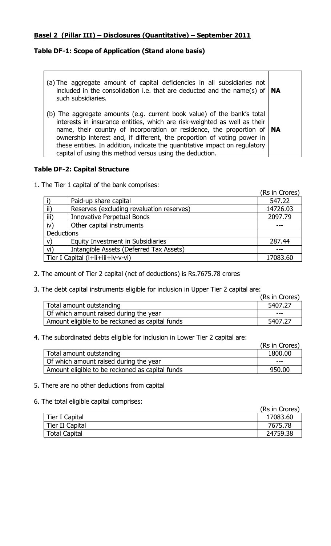### **Basel 2 (Pillar III) – Disclosures (Quantitative) – September 2011**

## **Table DF-1: Scope of Application (Stand alone basis)**

| (a) The aggregate amount of capital deficiencies in all subsidiaries not<br>included in the consolidation i.e. that are deducted and the name(s) of $\vert$ NA<br>such subsidiaries.                                                                                                                                                                                                                                                                     |  |
|----------------------------------------------------------------------------------------------------------------------------------------------------------------------------------------------------------------------------------------------------------------------------------------------------------------------------------------------------------------------------------------------------------------------------------------------------------|--|
| (b) The aggregate amounts (e.g. current book value) of the bank's total<br>interests in insurance entities, which are risk-weighted as well as their<br>name, their country of incorporation or residence, the proportion of $ NA$<br>ownership interest and, if different, the proportion of voting power in<br>these entities. In addition, indicate the quantitative impact on regulatory<br>capital of using this method versus using the deduction. |  |

### **Table DF-2: Capital Structure**

1. The Tier 1 capital of the bank comprises:

|               |                                               | (Rs in Crores) |
|---------------|-----------------------------------------------|----------------|
|               | Paid-up share capital                         | 547.22         |
| $\mathsf{ii}$ | Reserves (excluding revaluation reserves)     | 14726.03       |
| iii)          | <b>Innovative Perpetual Bonds</b>             | 2097.79        |
| iv)           | Other capital instruments                     |                |
| Deductions    |                                               |                |
| V)            | Equity Investment in Subsidiaries             | 287.44         |
| vi)           | Intangible Assets (Deferred Tax Assets)       |                |
|               | Tier I Capital (i+ii+iii+iv-v-vi)<br>17083.60 |                |

- 2. The amount of Tier 2 capital (net of deductions) is Rs.7675.78 crores
- 3. The debt capital instruments eligible for inclusion in Upper Tier 2 capital are:

|                                                 | (Rs in Crores) |
|-------------------------------------------------|----------------|
| Total amount outstanding                        | 5407.27        |
| Of which amount raised during the year          | ---            |
| Amount eligible to be reckoned as capital funds | 5407.27        |

#### 4. The subordinated debts eligible for inclusion in Lower Tier 2 capital are:

|                                                 | (Rs in Crores) |
|-------------------------------------------------|----------------|
| Total amount outstanding                        | 1800.00        |
| Of which amount raised during the year          | ---            |
| Amount eligible to be reckoned as capital funds | 950.00         |

#### 5. There are no other deductions from capital

#### 6. The total eligible capital comprises:

|                      | (Rs in Crores) |
|----------------------|----------------|
| Tier I Capital       | 17083.60       |
| Tier II Capital      | 7675.78        |
| <b>Total Capital</b> | 24759.38       |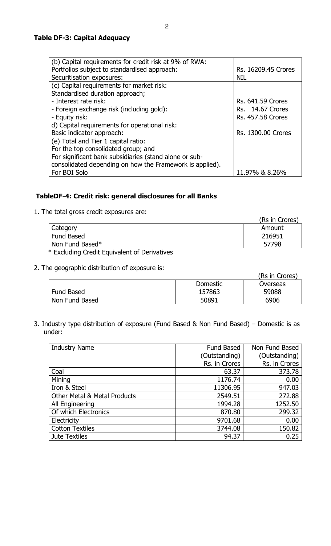2

#### **Table DF-3: Capital Adequacy**

| (b) Capital requirements for credit risk at 9% of RWA:   |                          |
|----------------------------------------------------------|--------------------------|
| Portfolios subject to standardised approach:             | Rs. 16209.45 Crores      |
| Securitisation exposures:                                | <b>NIL</b>               |
| (c) Capital requirements for market risk:                |                          |
| Standardised duration approach;                          |                          |
| - Interest rate risk:                                    | <b>Rs. 641.59 Crores</b> |
| - Foreign exchange risk (including gold):                | <b>Rs.</b> 14.67 Crores  |
| - Equity risk:                                           | <b>Rs. 457.58 Crores</b> |
| d) Capital requirements for operational risk:            |                          |
| Basic indicator approach:                                | Rs. 1300.00 Crores       |
| (e) Total and Tier 1 capital ratio:                      |                          |
| For the top consolidated group; and                      |                          |
| For significant bank subsidiaries (stand alone or sub-   |                          |
| consolidated depending on how the Framework is applied). |                          |
| For BOI Solo                                             | 11.97% & 8.26%           |

### **TableDF-4: Credit risk: general disclosures for all Banks**

1. The total gross credit exposures are:

|                                           | (Rs in Crores) |
|-------------------------------------------|----------------|
| Category                                  | Amount         |
| Fund Based                                | 216951         |
| Non Fund Based*                           | 57798          |
| $\sim$ $\sim$ $\sim$ $\sim$ $\sim$ $\sim$ |                |

\* Excluding Credit Equivalent of Derivatives

2. The geographic distribution of exposure is:

|                |                 | (Rs in Crores) |
|----------------|-----------------|----------------|
|                | <b>Domestic</b> | Overseas       |
| Fund Based     | 157863          | 59088          |
| Non Fund Based | 50891           | 6906           |

3. Industry type distribution of exposure (Fund Based & Non Fund Based) – Domestic is as under:

| <b>Industry Name</b>                    | Fund Based    | Non Fund Based |
|-----------------------------------------|---------------|----------------|
|                                         | (Outstanding) | (Outstanding)  |
|                                         | Rs. in Crores | Rs. in Crores  |
| Coal                                    | 63.37         | 373.78         |
| Mining                                  | 1176.74       | 0.00           |
| Iron & Steel                            | 11306.95      | 947.03         |
| <b>Other Metal &amp; Metal Products</b> | 2549.51       | 272.88         |
| All Engineering                         | 1994.28       | 1252.50        |
| Of which Electronics                    | 870.80        | 299.32         |
| Electricity                             | 9701.68       | 0.00           |
| <b>Cotton Textiles</b>                  | 3744.08       | 150.82         |
| Jute Textiles                           | 94.37         | 0.25           |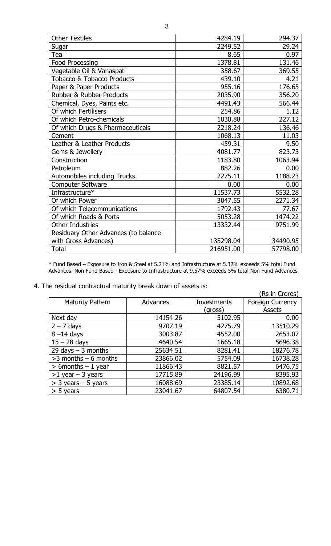| <b>Other Textiles</b>                 | 4284.19   | 294.37   |
|---------------------------------------|-----------|----------|
| Sugar                                 | 2249.52   | 29.24    |
| Tea                                   | 8.65      | 0.97     |
| <b>Food Processing</b>                | 1378.81   | 131.46   |
| Vegetable Oil & Vanaspati             | 358.67    | 369.55   |
| <b>Tobacco &amp; Tobacco Products</b> | 439.10    | 4.21     |
| Paper & Paper Products                | 955.16    | 176.65   |
| <b>Rubber &amp; Rubber Products</b>   | 2035.90   | 356.20   |
| Chemical, Dyes, Paints etc.           | 4491.43   | 566.44   |
| Of which Fertilisers                  | 254.86    | 1.12     |
| Of which Petro-chemicals              | 1030.88   | 227.12   |
| Of which Drugs & Pharmaceuticals      | 2218.24   | 136.46   |
| Cement                                | 1068.13   | 11.03    |
| Leather & Leather Products            | 459.31    | 9.50     |
| Gems & Jewellery                      | 4081.77   | 823.73   |
| Construction                          | 1183.80   | 1063.94  |
| Petroleum                             | 882.26    | 0.00     |
| Automobiles including Trucks          | 2275.11   | 1188.23  |
| <b>Computer Software</b>              | 0.00      | 0.00     |
| Infrastructure*                       | 11537.73  | 5532.28  |
| Of which Power                        | 3047.55   | 2271.34  |
| Of which Telecommunications           | 1792.43   | 77.67    |
| Of which Roads & Ports                | 5053.28   | 1474.22  |
| <b>Other Industries</b>               | 13332.44  | 9751.99  |
| Residuary Other Advances (to balance  |           |          |
| with Gross Advances)                  | 135298.04 | 34490.95 |
| <b>Total</b>                          | 216951.00 | 57798.00 |

\* Fund Based – Exposure to Iron & Steel at 5.21% and Infrastructure at 5.32% exceeds 5% total Fund Advances. Non Fund Based - Exposure to Infrastructure at 9.57% exceeds 5% total Non Fund Advances

4. The residual contractual maturity break down of assets is:

|                         |          |             | (Rs in Crores)          |
|-------------------------|----------|-------------|-------------------------|
| <b>Maturity Pattern</b> | Advances | Investments | <b>Foreign Currency</b> |
|                         |          | (gross)     | Assets                  |
| Next day                | 14154.26 | 5102.95     | 0.00                    |
| $2 - 7$ days            | 9707.19  | 4275.79     | 13510.29                |
| $8 - 14$ days           | 3003.87  | 4552.00     | 2653.07                 |
| $15 - 28$ days          | 4640.54  | 1665.18     | 5696.38                 |
| 29 days $-$ 3 months    | 25634.51 | 8281.41     | 18276.78                |
| $>3$ months $-6$ months | 23866.02 | 5754.09     | 16738.28                |
| $> 6$ months $-1$ year  | 11866.43 | 8821.57     | 6476.75                 |
| $>1$ year - 3 years     | 17715.89 | 24196.99    | 8395.93                 |
| $>$ 3 years – 5 years   | 16088.69 | 23385.14    | 10892.68                |
| $> 5$ years             | 23041.67 | 64807.54    | 6380.71                 |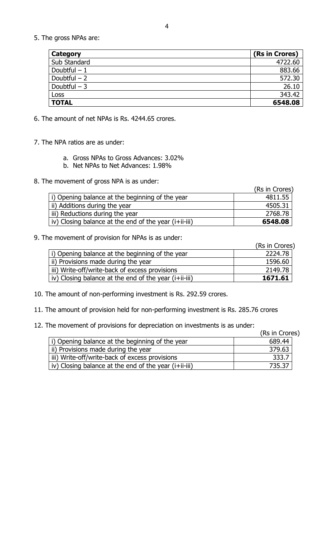5. The gross NPAs are:

| <b>Category</b> | (Rs in Crores) |
|-----------------|----------------|
| Sub Standard    | 4722.60        |
| Doubtful $-1$   | 883.66         |
| Doubtful $-2$   | 572.30         |
| Doubtful $-3$   | 26.10          |
| Loss            | 343.42         |
| <b>TOTAL</b>    | 6548.08        |

6. The amount of net NPAs is Rs. 4244.65 crores.

- 7. The NPA ratios are as under:
	- a. Gross NPAs to Gross Advances: 3.02%
	- b. Net NPAs to Net Advances: 1.98%
- 8. The movement of gross NPA is as under:

|                                                       | (Rs in Crores) |
|-------------------------------------------------------|----------------|
| i) Opening balance at the beginning of the year       | 4811.55        |
| ii) Additions during the year                         | 4505.31        |
| iii) Reductions during the year                       | 2768.78        |
| iv) Closing balance at the end of the year (i+ii-iii) | 6548.08        |

#### 9. The movement of provision for NPAs is as under:

|                                                       | (Rs in Crores) |
|-------------------------------------------------------|----------------|
| i) Opening balance at the beginning of the year       | 2224.78        |
| ii) Provisions made during the year                   | 1596.60        |
| iii) Write-off/write-back of excess provisions        | 2149.78        |
| iv) Closing balance at the end of the year (i+ii-iii) | 1671.61        |

- 10. The amount of non-performing investment is Rs. 292.59 crores.
- 11. The amount of provision held for non-performing investment is Rs. 285.76 crores
- 12. The movement of provisions for depreciation on investments is as under:

|                                                       | (Rs in Crores) |
|-------------------------------------------------------|----------------|
| i) Opening balance at the beginning of the year       | 689.44         |
| ii) Provisions made during the year                   | 379.63         |
| iii) Write-off/write-back of excess provisions        | 333.7          |
| iv) Closing balance at the end of the year (i+ii-iii) | 735.37         |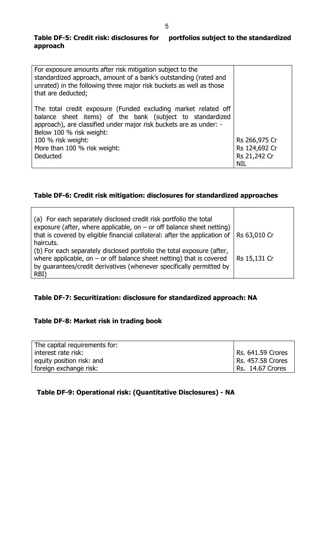## **Table DF-5: Credit risk: disclosures for portfolios subject to the standardized approach**

| For exposure amounts after risk mitigation subject to the<br>standardized approach, amount of a bank's outstanding (rated and<br>unrated) in the following three major risk buckets as well as those<br>that are deducted;    |               |
|-------------------------------------------------------------------------------------------------------------------------------------------------------------------------------------------------------------------------------|---------------|
| The total credit exposure (Funded excluding market related off<br>balance sheet items) of the bank (subject to standardized<br>approach), are classified under major risk buckets are as under: -<br>Below 100 % risk weight: |               |
| 100 % risk weight:                                                                                                                                                                                                            | Rs 266,975 Cr |
| More than 100 % risk weight:                                                                                                                                                                                                  | Rs 124,692 Cr |
| Deducted                                                                                                                                                                                                                      | Rs 21,242 Cr  |
|                                                                                                                                                                                                                               | <b>NIL</b>    |

# **Table DF-6: Credit risk mitigation: disclosures for standardized approaches**

| (a) For each separately disclosed credit risk portfolio the total<br>exposure (after, where applicable, on $-$ or off balance sheet netting)<br>that is covered by eligible financial collateral: after the application of   Rs 63,010 Cr<br>haircuts. |              |
|--------------------------------------------------------------------------------------------------------------------------------------------------------------------------------------------------------------------------------------------------------|--------------|
| (b) For each separately disclosed portfolio the total exposure (after,<br>where applicable, on $-$ or off balance sheet netting) that is covered<br>by guarantees/credit derivatives (whenever specifically permitted by<br>RBI)                       | Rs 15,131 Cr |

# **Table DF-7: Securitization: disclosure for standardized approach: NA**

# **Table DF-8: Market risk in trading book**

| The capital requirements for: |                   |
|-------------------------------|-------------------|
| interest rate risk:           | Rs. 641.59 Crores |
| equity position risk: and     | Rs. 457.58 Crores |
| foreign exchange risk:        | Rs. 14.67 Crores  |

# **Table DF-9: Operational risk: (Quantitative Disclosures) - NA**